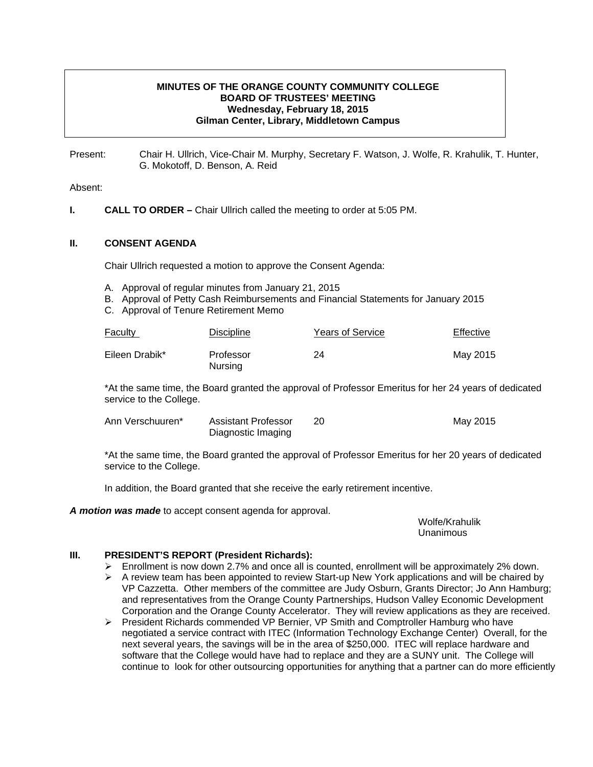## **MINUTES OF THE ORANGE COUNTY COMMUNITY COLLEGE BOARD OF TRUSTEES' MEETING Wednesday, February 18, 2015 Gilman Center, Library, Middletown Campus**

Present: Chair H. Ullrich, Vice-Chair M. Murphy, Secretary F. Watson, J. Wolfe, R. Krahulik, T. Hunter, G. Mokotoff, D. Benson, A. Reid

### Absent:

**I.** CALL TO ORDER – Chair Ullrich called the meeting to order at 5:05 PM.

### **II. CONSENT AGENDA**

Chair Ullrich requested a motion to approve the Consent Agenda:

- A. Approval of regular minutes from January 21, 2015
- B. Approval of Petty Cash Reimbursements and Financial Statements for January 2015
- C. Approval of Tenure Retirement Memo

| <b>Faculty</b> | <b>Discipline</b>    | <b>Years of Service</b> | Effective |
|----------------|----------------------|-------------------------|-----------|
| Eileen Drabik* | Professor<br>Nursing | 24                      | May 2015  |

\*At the same time, the Board granted the approval of Professor Emeritus for her 24 years of dedicated service to the College.

| Ann Verschuuren* | Assistant Professor | May 2015 |
|------------------|---------------------|----------|
|                  | Diagnostic Imaging  |          |

\*At the same time, the Board granted the approval of Professor Emeritus for her 20 years of dedicated service to the College.

In addition, the Board granted that she receive the early retirement incentive.

*A motion was made* to accept consent agenda for approval.

 Wolfe/Krahulik Unanimous

### **III. PRESIDENT'S REPORT (President Richards):**

- $\triangleright$  Enrollment is now down 2.7% and once all is counted, enrollment will be approximately 2% down.
- $\triangleright$  A review team has been appointed to review Start-up New York applications and will be chaired by VP Cazzetta. Other members of the committee are Judy Osburn, Grants Director; Jo Ann Hamburg; and representatives from the Orange County Partnerships, Hudson Valley Economic Development Corporation and the Orange County Accelerator. They will review applications as they are received.
- ¾ President Richards commended VP Bernier, VP Smith and Comptroller Hamburg who have negotiated a service contract with ITEC (Information Technology Exchange Center) Overall, for the next several years, the savings will be in the area of \$250,000. ITEC will replace hardware and software that the College would have had to replace and they are a SUNY unit. The College will continue to look for other outsourcing opportunities for anything that a partner can do more efficiently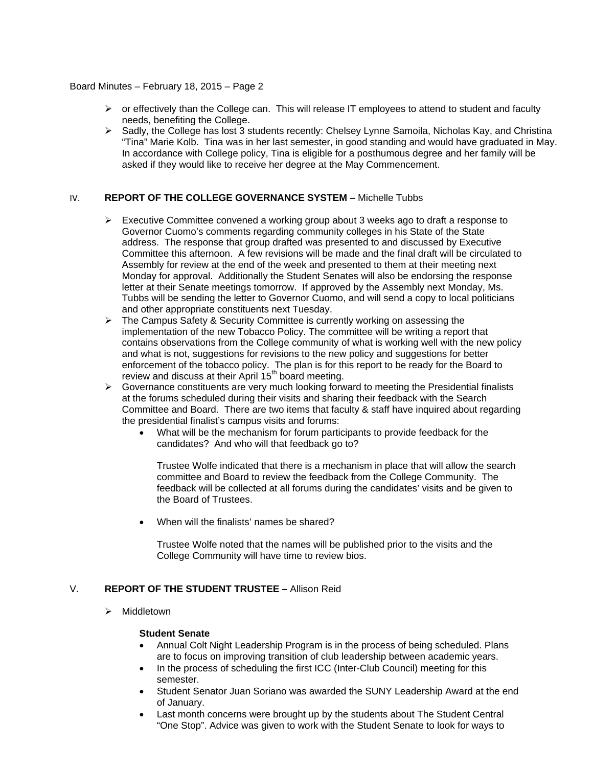- $\triangleright$  or effectively than the College can. This will release IT employees to attend to student and faculty needs, benefiting the College.
- ¾ Sadly, the College has lost 3 students recently: Chelsey Lynne Samoila, Nicholas Kay, and Christina "Tina" Marie Kolb. Tina was in her last semester, in good standing and would have graduated in May. In accordance with College policy, Tina is eligible for a posthumous degree and her family will be asked if they would like to receive her degree at the May Commencement.

## IV. **REPORT OF THE COLLEGE GOVERNANCE SYSTEM –** Michelle Tubbs

- $\triangleright$  Executive Committee convened a working group about 3 weeks ago to draft a response to Governor Cuomo's comments regarding community colleges in his State of the State address. The response that group drafted was presented to and discussed by Executive Committee this afternoon. A few revisions will be made and the final draft will be circulated to Assembly for review at the end of the week and presented to them at their meeting next Monday for approval. Additionally the Student Senates will also be endorsing the response letter at their Senate meetings tomorrow. If approved by the Assembly next Monday, Ms. Tubbs will be sending the letter to Governor Cuomo, and will send a copy to local politicians and other appropriate constituents next Tuesday.
- ¾ The Campus Safety & Security Committee is currently working on assessing the implementation of the new Tobacco Policy. The committee will be writing a report that contains observations from the College community of what is working well with the new policy and what is not, suggestions for revisions to the new policy and suggestions for better enforcement of the tobacco policy. The plan is for this report to be ready for the Board to review and discuss at their April 15<sup>th</sup> board meeting.
- $\triangleright$  Governance constituents are very much looking forward to meeting the Presidential finalists at the forums scheduled during their visits and sharing their feedback with the Search Committee and Board. There are two items that faculty & staff have inquired about regarding the presidential finalist's campus visits and forums:
	- What will be the mechanism for forum participants to provide feedback for the candidates? And who will that feedback go to?

Trustee Wolfe indicated that there is a mechanism in place that will allow the search committee and Board to review the feedback from the College Community. The feedback will be collected at all forums during the candidates' visits and be given to the Board of Trustees.

• When will the finalists' names be shared?

Trustee Wolfe noted that the names will be published prior to the visits and the College Community will have time to review bios.

## V. **REPORT OF THE STUDENT TRUSTEE –** Allison Reid

 $\triangleright$  Middletown

### **Student Senate**

- Annual Colt Night Leadership Program is in the process of being scheduled. Plans are to focus on improving transition of club leadership between academic years.
- In the process of scheduling the first ICC (Inter-Club Council) meeting for this semester.
- Student Senator Juan Soriano was awarded the SUNY Leadership Award at the end of January.
- Last month concerns were brought up by the students about The Student Central "One Stop". Advice was given to work with the Student Senate to look for ways to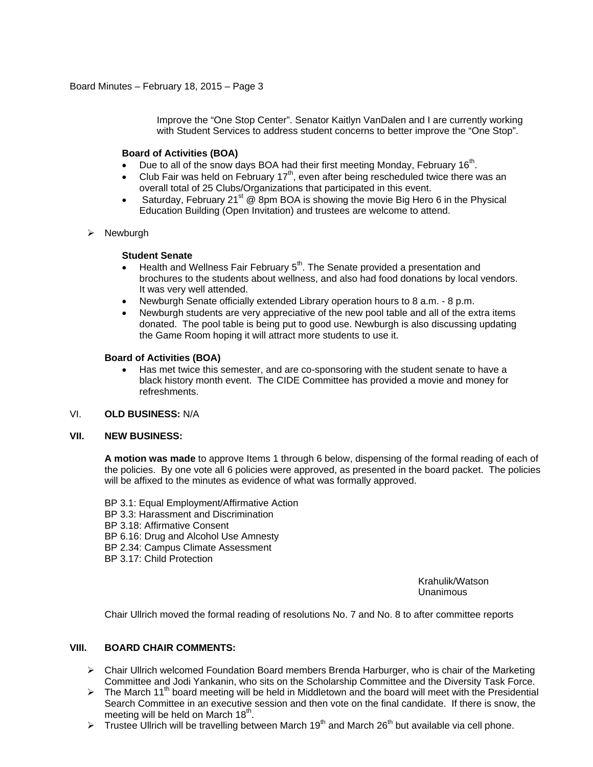Improve the "One Stop Center". Senator Kaitlyn VanDalen and I are currently working with Student Services to address student concerns to better improve the "One Stop".

### **Board of Activities (BOA)**

- Due to all of the snow days BOA had their first meeting Monday, February 16<sup>th</sup>.
- Club Fair was held on February 17<sup>th</sup>, even after being rescheduled twice there was an overall total of 25 Clubs/Organizations that participated in this event.
- Saturday, February 21<sup>st</sup> @ 8pm BOA is showing the movie Big Hero 6 in the Physical Education Building (Open Invitation) and trustees are welcome to attend.
- $\triangleright$  Newburgh

## **Student Senate**

- Health and Wellness Fair February  $5<sup>th</sup>$ . The Senate provided a presentation and brochures to the students about wellness, and also had food donations by local vendors. It was very well attended.
- Newburgh Senate officially extended Library operation hours to 8 a.m. 8 p.m.
- Newburgh students are very appreciative of the new pool table and all of the extra items donated. The pool table is being put to good use. Newburgh is also discussing updating the Game Room hoping it will attract more students to use it.

## **Board of Activities (BOA)**

• Has met twice this semester, and are co-sponsoring with the student senate to have a black history month event. The CIDE Committee has provided a movie and money for refreshments.

## VI. **OLD BUSINESS:** N/A

### **VII. NEW BUSINESS:**

**A motion was made** to approve Items 1 through 6 below, dispensing of the formal reading of each of the policies. By one vote all 6 policies were approved, as presented in the board packet. The policies will be affixed to the minutes as evidence of what was formally approved.

BP 3.1: Equal Employment/Affirmative Action BP 3.3: Harassment and Discrimination BP 3.18: Affirmative Consent BP 6.16: Drug and Alcohol Use Amnesty BP 2.34: Campus Climate Assessment BP 3.17: Child Protection

> Krahulik/Watson Unanimous

Chair Ullrich moved the formal reading of resolutions No. 7 and No. 8 to after committee reports

### **VIII. BOARD CHAIR COMMENTS:**

- $\triangleright$  Chair Ullrich welcomed Foundation Board members Brenda Harburger, who is chair of the Marketing Committee and Jodi Yankanin, who sits on the Scholarship Committee and the Diversity Task Force.
- $\triangleright$  The March 11<sup>th</sup> board meeting will be held in Middletown and the board will meet with the Presidential Search Committee in an executive session and then vote on the final candidate. If there is snow, the meeting will be held on March  $18<sup>th</sup>$ .
- $\triangleright$  Trustee Ullrich will be travelling between March 19<sup>th</sup> and March 26<sup>th</sup> but available via cell phone.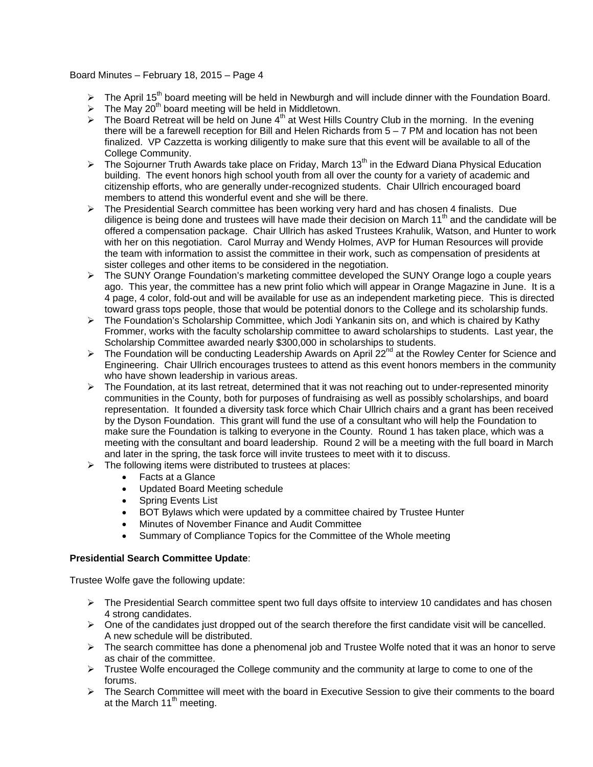- $\triangleright$  The April 15<sup>th</sup> board meeting will be held in Newburgh and will include dinner with the Foundation Board.
- $\triangleright$  The May 20<sup>th</sup> board meeting will be held in Middletown.
- $\triangleright$  The Board Retreat will be held on June 4<sup>th</sup> at West Hills Country Club in the morning. In the evening there will be a farewell reception for Bill and Helen Richards from 5 – 7 PM and location has not been finalized. VP Cazzetta is working diligently to make sure that this event will be available to all of the College Community.
- $\triangleright$  The Sojourner Truth Awards take place on Friday, March 13<sup>th</sup> in the Edward Diana Physical Education building. The event honors high school youth from all over the county for a variety of academic and citizenship efforts, who are generally under-recognized students. Chair Ullrich encouraged board members to attend this wonderful event and she will be there.
- $\triangleright$  The Presidential Search committee has been working very hard and has chosen 4 finalists. Due diligence is being done and trustees will have made their decision on March 11<sup>th</sup> and the candidate will be offered a compensation package. Chair Ullrich has asked Trustees Krahulik, Watson, and Hunter to work with her on this negotiation. Carol Murray and Wendy Holmes, AVP for Human Resources will provide the team with information to assist the committee in their work, such as compensation of presidents at sister colleges and other items to be considered in the negotiation.
- $\triangleright$  The SUNY Orange Foundation's marketing committee developed the SUNY Orange logo a couple years ago. This year, the committee has a new print folio which will appear in Orange Magazine in June. It is a 4 page, 4 color, fold-out and will be available for use as an independent marketing piece. This is directed toward grass tops people, those that would be potential donors to the College and its scholarship funds.
- ¾ The Foundation's Scholarship Committee, which Jodi Yankanin sits on, and which is chaired by Kathy Frommer, works with the faculty scholarship committee to award scholarships to students. Last year, the Scholarship Committee awarded nearly \$300,000 in scholarships to students.
- ▶ The Foundation will be conducting Leadership Awards on April 22<sup>nd</sup> at the Rowley Center for Science and Engineering. Chair Ullrich encourages trustees to attend as this event honors members in the community who have shown leadership in various areas.
- $\triangleright$  The Foundation, at its last retreat, determined that it was not reaching out to under-represented minority communities in the County, both for purposes of fundraising as well as possibly scholarships, and board representation. It founded a diversity task force which Chair Ullrich chairs and a grant has been received by the Dyson Foundation. This grant will fund the use of a consultant who will help the Foundation to make sure the Foundation is talking to everyone in the County. Round 1 has taken place, which was a meeting with the consultant and board leadership. Round 2 will be a meeting with the full board in March and later in the spring, the task force will invite trustees to meet with it to discuss.
- $\triangleright$  The following items were distributed to trustees at places:
	- Facts at a Glance
	- Updated Board Meeting schedule
	- Spring Events List
	- BOT Bylaws which were updated by a committee chaired by Trustee Hunter
	- Minutes of November Finance and Audit Committee
	- Summary of Compliance Topics for the Committee of the Whole meeting

## **Presidential Search Committee Update**:

Trustee Wolfe gave the following update:

- $\triangleright$  The Presidential Search committee spent two full days offsite to interview 10 candidates and has chosen 4 strong candidates.
- $\triangleright$  One of the candidates just dropped out of the search therefore the first candidate visit will be cancelled. A new schedule will be distributed.
- $\triangleright$  The search committee has done a phenomenal job and Trustee Wolfe noted that it was an honor to serve as chair of the committee.
- ¾ Trustee Wolfe encouraged the College community and the community at large to come to one of the forums.
- $\triangleright$  The Search Committee will meet with the board in Executive Session to give their comments to the board at the March  $11<sup>th</sup>$  meeting.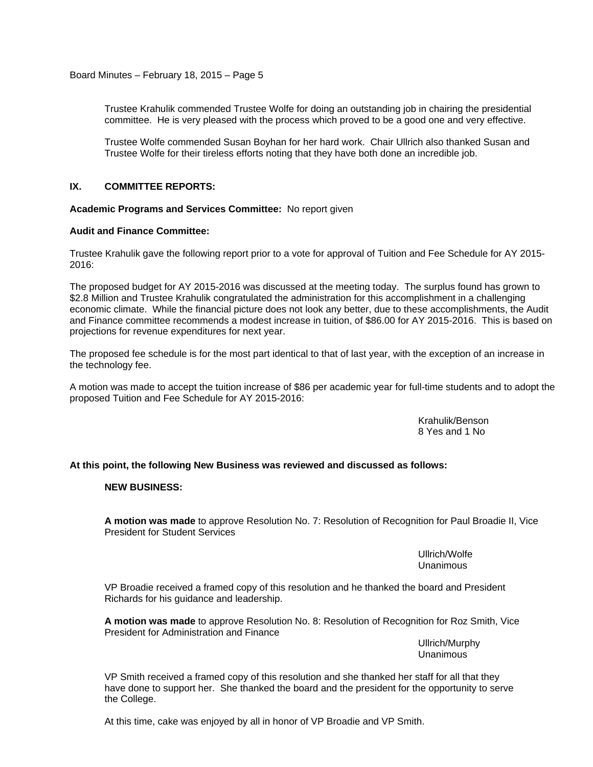Trustee Krahulik commended Trustee Wolfe for doing an outstanding job in chairing the presidential committee. He is very pleased with the process which proved to be a good one and very effective.

Trustee Wolfe commended Susan Boyhan for her hard work. Chair Ullrich also thanked Susan and Trustee Wolfe for their tireless efforts noting that they have both done an incredible job.

### **IX. COMMITTEE REPORTS:**

**Academic Programs and Services Committee:** No report given

### **Audit and Finance Committee:**

Trustee Krahulik gave the following report prior to a vote for approval of Tuition and Fee Schedule for AY 2015- 2016:

The proposed budget for AY 2015-2016 was discussed at the meeting today. The surplus found has grown to \$2.8 Million and Trustee Krahulik congratulated the administration for this accomplishment in a challenging economic climate. While the financial picture does not look any better, due to these accomplishments, the Audit and Finance committee recommends a modest increase in tuition, of \$86.00 for AY 2015-2016. This is based on projections for revenue expenditures for next year.

The proposed fee schedule is for the most part identical to that of last year, with the exception of an increase in the technology fee.

A motion was made to accept the tuition increase of \$86 per academic year for full-time students and to adopt the proposed Tuition and Fee Schedule for AY 2015-2016:

> Krahulik/Benson 8 Yes and 1 No

**At this point, the following New Business was reviewed and discussed as follows:** 

#### **NEW BUSINESS:**

**A motion was made** to approve Resolution No. 7: Resolution of Recognition for Paul Broadie II, Vice President for Student Services

> Ullrich/Wolfe Unanimous

VP Broadie received a framed copy of this resolution and he thanked the board and President Richards for his guidance and leadership.

**A motion was made** to approve Resolution No. 8: Resolution of Recognition for Roz Smith, Vice President for Administration and Finance

> Ullrich/Murphy Unanimous

VP Smith received a framed copy of this resolution and she thanked her staff for all that they have done to support her. She thanked the board and the president for the opportunity to serve the College.

At this time, cake was enjoyed by all in honor of VP Broadie and VP Smith.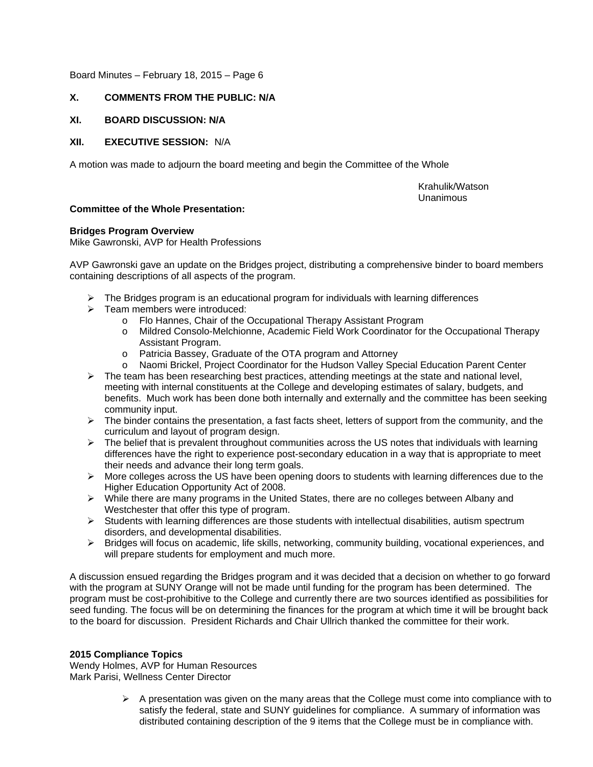## **X. COMMENTS FROM THE PUBLIC: N/A**

## **XI. BOARD DISCUSSION: N/A**

## **XII. EXECUTIVE SESSION:** N/A

A motion was made to adjourn the board meeting and begin the Committee of the Whole

 Krahulik/Watson Unanimous

## **Committee of the Whole Presentation:**

## **Bridges Program Overview**

Mike Gawronski, AVP for Health Professions

AVP Gawronski gave an update on the Bridges project, distributing a comprehensive binder to board members containing descriptions of all aspects of the program.

- $\triangleright$  The Bridges program is an educational program for individuals with learning differences
- $\triangleright$  Team members were introduced:
	- o Flo Hannes, Chair of the Occupational Therapy Assistant Program
	- o Mildred Consolo-Melchionne, Academic Field Work Coordinator for the Occupational Therapy Assistant Program.
	- o Patricia Bassey, Graduate of the OTA program and Attorney
- o Naomi Brickel, Project Coordinator for the Hudson Valley Special Education Parent Center  $\triangleright$  The team has been researching best practices, attending meetings at the state and national level, meeting with internal constituents at the College and developing estimates of salary, budgets, and benefits. Much work has been done both internally and externally and the committee has been seeking community input.
- ¾ The binder contains the presentation, a fast facts sheet, letters of support from the community, and the curriculum and layout of program design.
- $\triangleright$  The belief that is prevalent throughout communities across the US notes that individuals with learning differences have the right to experience post-secondary education in a way that is appropriate to meet their needs and advance their long term goals.
- $\triangleright$  More colleges across the US have been opening doors to students with learning differences due to the Higher Education Opportunity Act of 2008.
- $\triangleright$  While there are many programs in the United States, there are no colleges between Albany and Westchester that offer this type of program.
- $\triangleright$  Students with learning differences are those students with intellectual disabilities, autism spectrum disorders, and developmental disabilities.
- ¾ Bridges will focus on academic, life skills, networking, community building, vocational experiences, and will prepare students for employment and much more.

A discussion ensued regarding the Bridges program and it was decided that a decision on whether to go forward with the program at SUNY Orange will not be made until funding for the program has been determined. The program must be cost-prohibitive to the College and currently there are two sources identified as possibilities for seed funding. The focus will be on determining the finances for the program at which time it will be brought back to the board for discussion. President Richards and Chair Ullrich thanked the committee for their work.

## **2015 Compliance Topics**

Wendy Holmes, AVP for Human Resources Mark Parisi, Wellness Center Director

> $\triangleright$  A presentation was given on the many areas that the College must come into compliance with to satisfy the federal, state and SUNY guidelines for compliance. A summary of information was distributed containing description of the 9 items that the College must be in compliance with.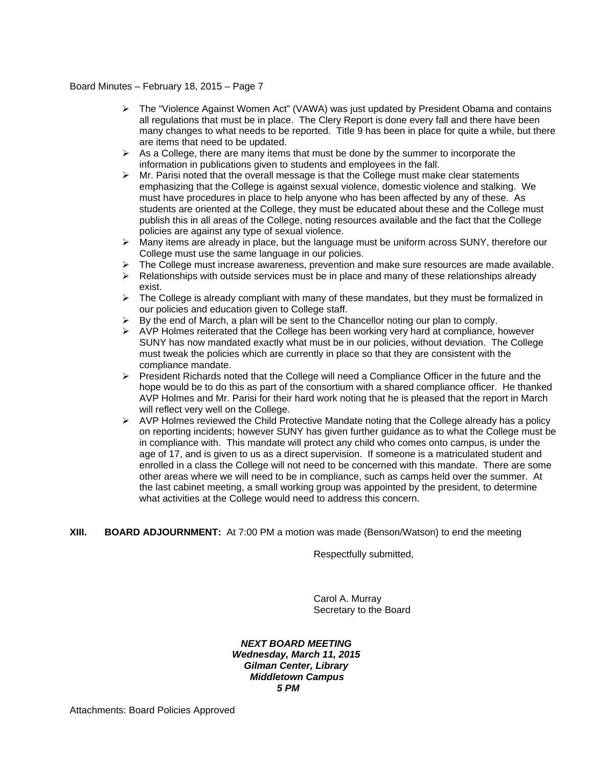- $\triangleright$  The "Violence Against Women Act" (VAWA) was just updated by President Obama and contains all regulations that must be in place. The Clery Report is done every fall and there have been many changes to what needs to be reported. Title 9 has been in place for quite a while, but there are items that need to be updated.
- $\triangleright$  As a College, there are many items that must be done by the summer to incorporate the information in publications given to students and employees in the fall.
- ¾ Mr. Parisi noted that the overall message is that the College must make clear statements emphasizing that the College is against sexual violence, domestic violence and stalking. We must have procedures in place to help anyone who has been affected by any of these. As students are oriented at the College, they must be educated about these and the College must publish this in all areas of the College, noting resources available and the fact that the College policies are against any type of sexual violence.
- $\triangleright$  Many items are already in place, but the language must be uniform across SUNY, therefore our College must use the same language in our policies.
- $\triangleright$  The College must increase awareness, prevention and make sure resources are made available.
- $\triangleright$  Relationships with outside services must be in place and many of these relationships already exist.
- $\triangleright$  The College is already compliant with many of these mandates, but they must be formalized in our policies and education given to College staff.
- $\triangleright$  By the end of March, a plan will be sent to the Chancellor noting our plan to comply.
- $\triangleright$  AVP Holmes reiterated that the College has been working very hard at compliance, however SUNY has now mandated exactly what must be in our policies, without deviation. The College must tweak the policies which are currently in place so that they are consistent with the compliance mandate.
- ¾ President Richards noted that the College will need a Compliance Officer in the future and the hope would be to do this as part of the consortium with a shared compliance officer. He thanked AVP Holmes and Mr. Parisi for their hard work noting that he is pleased that the report in March will reflect very well on the College.
- ¾ AVP Holmes reviewed the Child Protective Mandate noting that the College already has a policy on reporting incidents; however SUNY has given further guidance as to what the College must be in compliance with. This mandate will protect any child who comes onto campus, is under the age of 17, and is given to us as a direct supervision. If someone is a matriculated student and enrolled in a class the College will not need to be concerned with this mandate. There are some other areas where we will need to be in compliance, such as camps held over the summer. At the last cabinet meeting, a small working group was appointed by the president, to determine what activities at the College would need to address this concern.
- **XIII. BOARD ADJOURNMENT:** At 7:00 PM a motion was made (Benson/Watson) to end the meeting

Respectfully submitted,

Carol A. Murray Secretary to the Board

### *NEXT BOARD MEETING Wednesday, March 11, 2015 Gilman Center, Library Middletown Campus 5 PM*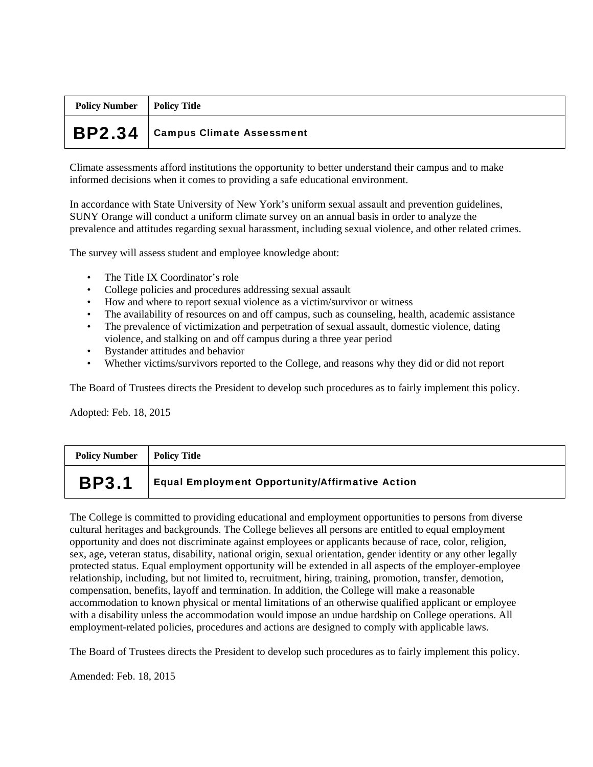| <b>Policy Number</b> | Policy Title                         |
|----------------------|--------------------------------------|
|                      | $BP2.34$   Campus Climate Assessment |

Climate assessments afford institutions the opportunity to better understand their campus and to make informed decisions when it comes to providing a safe educational environment.

In accordance with State University of New York's uniform sexual assault and prevention guidelines, SUNY Orange will conduct a uniform climate survey on an annual basis in order to analyze the prevalence and attitudes regarding sexual harassment, including sexual violence, and other related crimes.

The survey will assess student and employee knowledge about:

- The Title IX Coordinator's role
- College policies and procedures addressing sexual assault
- How and where to report sexual violence as a victim/survivor or witness
- The availability of resources on and off campus, such as counseling, health, academic assistance
- The prevalence of victimization and perpetration of sexual assault, domestic violence, dating violence, and stalking on and off campus during a three year period
- Bystander attitudes and behavior
- Whether victims/survivors reported to the College, and reasons why they did or did not report

The Board of Trustees directs the President to develop such procedures as to fairly implement this policy.

Adopted: Feb. 18, 2015

| <b>Policy Number</b> | Policy Title                                           |
|----------------------|--------------------------------------------------------|
| <b>BP3.1</b>         | <b>Equal Employment Opportunity/Affirmative Action</b> |

The College is committed to providing educational and employment opportunities to persons from diverse cultural heritages and backgrounds. The College believes all persons are entitled to equal employment opportunity and does not discriminate against employees or applicants because of race, color, religion, sex, age, veteran status, disability, national origin, sexual orientation, gender identity or any other legally protected status. Equal employment opportunity will be extended in all aspects of the employer-employee relationship, including, but not limited to, recruitment, hiring, training, promotion, transfer, demotion, compensation, benefits, layoff and termination. In addition, the College will make a reasonable accommodation to known physical or mental limitations of an otherwise qualified applicant or employee with a disability unless the accommodation would impose an undue hardship on College operations. All employment-related policies, procedures and actions are designed to comply with applicable laws.

The Board of Trustees directs the President to develop such procedures as to fairly implement this policy.

Amended: Feb. 18, 2015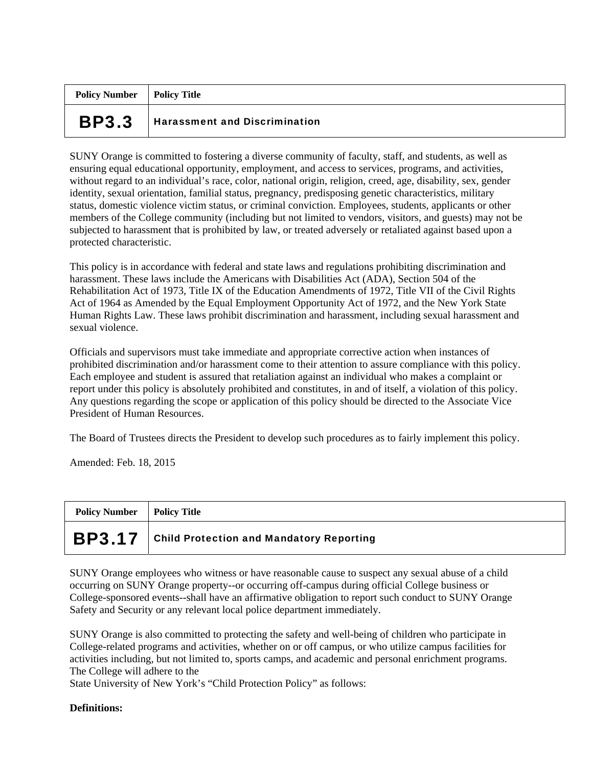| <b>Policy Number</b>   Policy Title |                                      |
|-------------------------------------|--------------------------------------|
| <b>BP3.3</b>                        | <b>Harassment and Discrimination</b> |

SUNY Orange is committed to fostering a diverse community of faculty, staff, and students, as well as ensuring equal educational opportunity, employment, and access to services, programs, and activities, without regard to an individual's race, color, national origin, religion, creed, age, disability, sex, gender identity, sexual orientation, familial status, pregnancy, predisposing genetic characteristics, military status, domestic violence victim status, or criminal conviction. Employees, students, applicants or other members of the College community (including but not limited to vendors, visitors, and guests) may not be subjected to harassment that is prohibited by law, or treated adversely or retaliated against based upon a protected characteristic.

This policy is in accordance with federal and state laws and regulations prohibiting discrimination and harassment. These laws include the Americans with Disabilities Act (ADA), Section 504 of the Rehabilitation Act of 1973, Title IX of the Education Amendments of 1972, Title VII of the Civil Rights Act of 1964 as Amended by the Equal Employment Opportunity Act of 1972, and the New York State Human Rights Law. These laws prohibit discrimination and harassment, including sexual harassment and sexual violence.

Officials and supervisors must take immediate and appropriate corrective action when instances of prohibited discrimination and/or harassment come to their attention to assure compliance with this policy. Each employee and student is assured that retaliation against an individual who makes a complaint or report under this policy is absolutely prohibited and constitutes, in and of itself, a violation of this policy. Any questions regarding the scope or application of this policy should be directed to the Associate Vice President of Human Resources.

The Board of Trustees directs the President to develop such procedures as to fairly implement this policy.

Amended: Feb. 18, 2015

| <b>Policy Number</b> | Policy Title                                    |
|----------------------|-------------------------------------------------|
| <b>BP3.17</b>        | <b>Child Protection and Mandatory Reporting</b> |

SUNY Orange employees who witness or have reasonable cause to suspect any sexual abuse of a child occurring on SUNY Orange property--or occurring off-campus during official College business or College-sponsored events--shall have an affirmative obligation to report such conduct to SUNY Orange Safety and Security or any relevant local police department immediately.

SUNY Orange is also committed to protecting the safety and well-being of children who participate in College-related programs and activities, whether on or off campus, or who utilize campus facilities for activities including, but not limited to, sports camps, and academic and personal enrichment programs. The College will adhere to the

State University of New York's "Child Protection Policy" as follows:

## **Definitions:**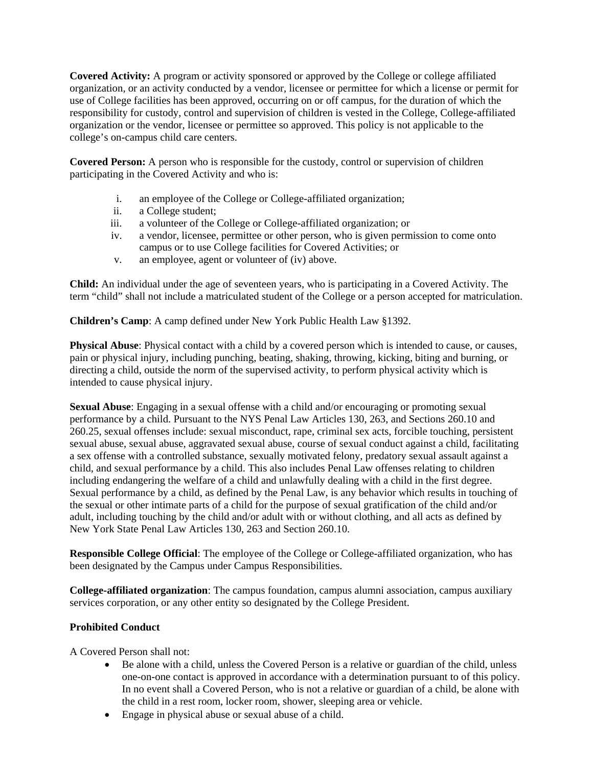**Covered Activity:** A program or activity sponsored or approved by the College or college affiliated organization, or an activity conducted by a vendor, licensee or permittee for which a license or permit for use of College facilities has been approved, occurring on or off campus, for the duration of which the responsibility for custody, control and supervision of children is vested in the College, College-affiliated organization or the vendor, licensee or permittee so approved. This policy is not applicable to the college's on-campus child care centers.

**Covered Person:** A person who is responsible for the custody, control or supervision of children participating in the Covered Activity and who is:

- i. an employee of the College or College-affiliated organization;
- ii. a College student;
- iii. a volunteer of the College or College-affiliated organization; or
- iv. a vendor, licensee, permittee or other person, who is given permission to come onto campus or to use College facilities for Covered Activities; or
- v. an employee, agent or volunteer of (iv) above.

**Child:** An individual under the age of seventeen years, who is participating in a Covered Activity. The term "child" shall not include a matriculated student of the College or a person accepted for matriculation.

**Children's Camp**: A camp defined under New York Public Health Law §1392.

**Physical Abuse**: Physical contact with a child by a covered person which is intended to cause, or causes, pain or physical injury, including punching, beating, shaking, throwing, kicking, biting and burning, or directing a child, outside the norm of the supervised activity, to perform physical activity which is intended to cause physical injury.

**Sexual Abuse**: Engaging in a sexual offense with a child and/or encouraging or promoting sexual performance by a child. Pursuant to the NYS Penal Law Articles 130, 263, and Sections 260.10 and 260.25, sexual offenses include: sexual misconduct, rape, criminal sex acts, forcible touching, persistent sexual abuse, sexual abuse, aggravated sexual abuse, course of sexual conduct against a child, facilitating a sex offense with a controlled substance, sexually motivated felony, predatory sexual assault against a child, and sexual performance by a child. This also includes Penal Law offenses relating to children including endangering the welfare of a child and unlawfully dealing with a child in the first degree. Sexual performance by a child, as defined by the Penal Law, is any behavior which results in touching of the sexual or other intimate parts of a child for the purpose of sexual gratification of the child and/or adult, including touching by the child and/or adult with or without clothing, and all acts as defined by New York State Penal Law Articles 130, 263 and Section 260.10.

**Responsible College Official**: The employee of the College or College-affiliated organization, who has been designated by the Campus under Campus Responsibilities.

**College-affiliated organization**: The campus foundation, campus alumni association, campus auxiliary services corporation, or any other entity so designated by the College President.

## **Prohibited Conduct**

A Covered Person shall not:

- Be alone with a child, unless the Covered Person is a relative or guardian of the child, unless one-on-one contact is approved in accordance with a determination pursuant to of this policy. In no event shall a Covered Person, who is not a relative or guardian of a child, be alone with the child in a rest room, locker room, shower, sleeping area or vehicle.
- Engage in physical abuse or sexual abuse of a child.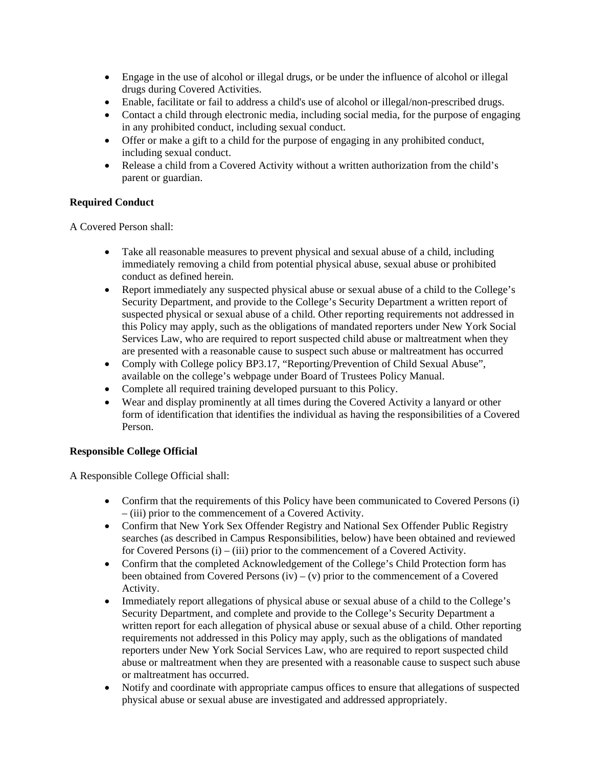- Engage in the use of alcohol or illegal drugs, or be under the influence of alcohol or illegal drugs during Covered Activities.
- Enable, facilitate or fail to address a child's use of alcohol or illegal/non-prescribed drugs.
- Contact a child through electronic media, including social media, for the purpose of engaging in any prohibited conduct, including sexual conduct.
- Offer or make a gift to a child for the purpose of engaging in any prohibited conduct, including sexual conduct.
- Release a child from a Covered Activity without a written authorization from the child's parent or guardian.

# **Required Conduct**

A Covered Person shall:

- Take all reasonable measures to prevent physical and sexual abuse of a child, including immediately removing a child from potential physical abuse, sexual abuse or prohibited conduct as defined herein.
- Report immediately any suspected physical abuse or sexual abuse of a child to the College's Security Department, and provide to the College's Security Department a written report of suspected physical or sexual abuse of a child. Other reporting requirements not addressed in this Policy may apply, such as the obligations of mandated reporters under New York Social Services Law, who are required to report suspected child abuse or maltreatment when they are presented with a reasonable cause to suspect such abuse or maltreatment has occurred
- Comply with College policy BP3.17, "Reporting/Prevention of Child Sexual Abuse", available on the college's webpage under Board of Trustees Policy Manual.
- Complete all required training developed pursuant to this Policy.
- Wear and display prominently at all times during the Covered Activity a lanyard or other form of identification that identifies the individual as having the responsibilities of a Covered Person.

# **Responsible College Official**

A Responsible College Official shall:

- Confirm that the requirements of this Policy have been communicated to Covered Persons (i) – (iii) prior to the commencement of a Covered Activity.
- Confirm that New York Sex Offender Registry and National Sex Offender Public Registry searches (as described in Campus Responsibilities, below) have been obtained and reviewed for Covered Persons (i) – (iii) prior to the commencement of a Covered Activity.
- Confirm that the completed Acknowledgement of the College's Child Protection form has been obtained from Covered Persons  $(iv) - (v)$  prior to the commencement of a Covered Activity.
- Immediately report allegations of physical abuse or sexual abuse of a child to the College's Security Department, and complete and provide to the College's Security Department a written report for each allegation of physical abuse or sexual abuse of a child. Other reporting requirements not addressed in this Policy may apply, such as the obligations of mandated reporters under New York Social Services Law, who are required to report suspected child abuse or maltreatment when they are presented with a reasonable cause to suspect such abuse or maltreatment has occurred.
- Notify and coordinate with appropriate campus offices to ensure that allegations of suspected physical abuse or sexual abuse are investigated and addressed appropriately.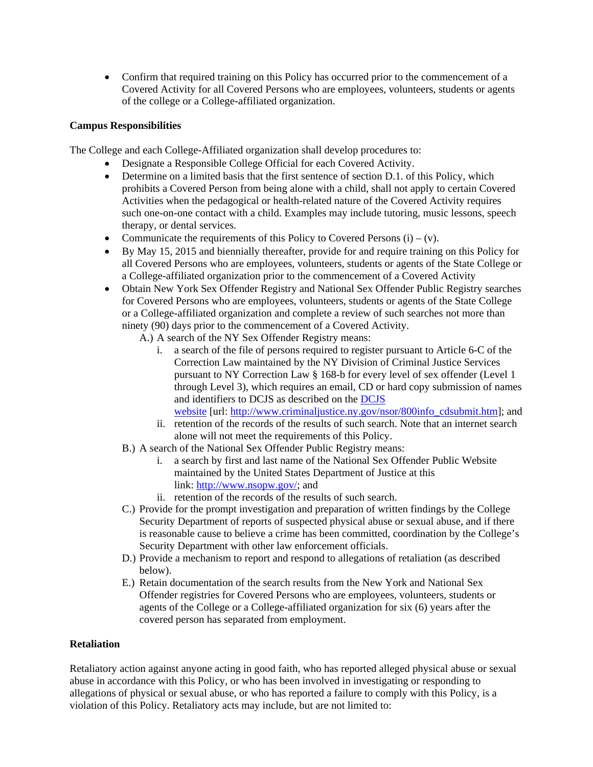• Confirm that required training on this Policy has occurred prior to the commencement of a Covered Activity for all Covered Persons who are employees, volunteers, students or agents of the college or a College-affiliated organization.

# **Campus Responsibilities**

The College and each College-Affiliated organization shall develop procedures to:

- Designate a Responsible College Official for each Covered Activity.
- Determine on a limited basis that the first sentence of section D.1. of this Policy, which prohibits a Covered Person from being alone with a child, shall not apply to certain Covered Activities when the pedagogical or health-related nature of the Covered Activity requires such one-on-one contact with a child. Examples may include tutoring, music lessons, speech therapy, or dental services.
- Communicate the requirements of this Policy to Covered Persons  $(i) (v)$ .
- By May 15, 2015 and biennially thereafter, provide for and require training on this Policy for all Covered Persons who are employees, volunteers, students or agents of the State College or a College-affiliated organization prior to the commencement of a Covered Activity
- Obtain New York Sex Offender Registry and National Sex Offender Public Registry searches for Covered Persons who are employees, volunteers, students or agents of the State College or a College-affiliated organization and complete a review of such searches not more than ninety (90) days prior to the commencement of a Covered Activity.
	- A.) A search of the NY Sex Offender Registry means:
		- i. a search of the file of persons required to register pursuant to Article 6-C of the Correction Law maintained by the NY Division of Criminal Justice Services pursuant to NY Correction Law § 168-b for every level of sex offender (Level 1 through Level 3), which requires an email, CD or hard copy submission of names and identifiers to DCJS as described on the [DCJS](http://www.criminaljustice.ny.gov/nsor/800info_cdsubmit.htm)  [website](http://www.criminaljustice.ny.gov/nsor/800info_cdsubmit.htm) [url: [http://www.criminaljustice.ny.gov/nsor/800info\\_cdsubmit.htm](http://www.criminaljustice.ny.gov/nsor/800info_cdsubmit.htm)]; and
		- ii. retention of the records of the results of such search. Note that an internet search alone will not meet the requirements of this Policy.
	- B.) A search of the National Sex Offender Public Registry means:
		- i. a search by first and last name of the National Sex Offender Public Website maintained by the United States Department of Justice at this link: [http://www.nsopw.gov/;](http://www.nsopw.gov/) and
		- ii. retention of the records of the results of such search.
	- C.) Provide for the prompt investigation and preparation of written findings by the College Security Department of reports of suspected physical abuse or sexual abuse, and if there is reasonable cause to believe a crime has been committed, coordination by the College's Security Department with other law enforcement officials.
	- D.) Provide a mechanism to report and respond to allegations of retaliation (as described below).
	- E.) Retain documentation of the search results from the New York and National Sex Offender registries for Covered Persons who are employees, volunteers, students or agents of the College or a College-affiliated organization for six (6) years after the covered person has separated from employment.

## **Retaliation**

Retaliatory action against anyone acting in good faith, who has reported alleged physical abuse or sexual abuse in accordance with this Policy, or who has been involved in investigating or responding to allegations of physical or sexual abuse, or who has reported a failure to comply with this Policy, is a violation of this Policy. Retaliatory acts may include, but are not limited to: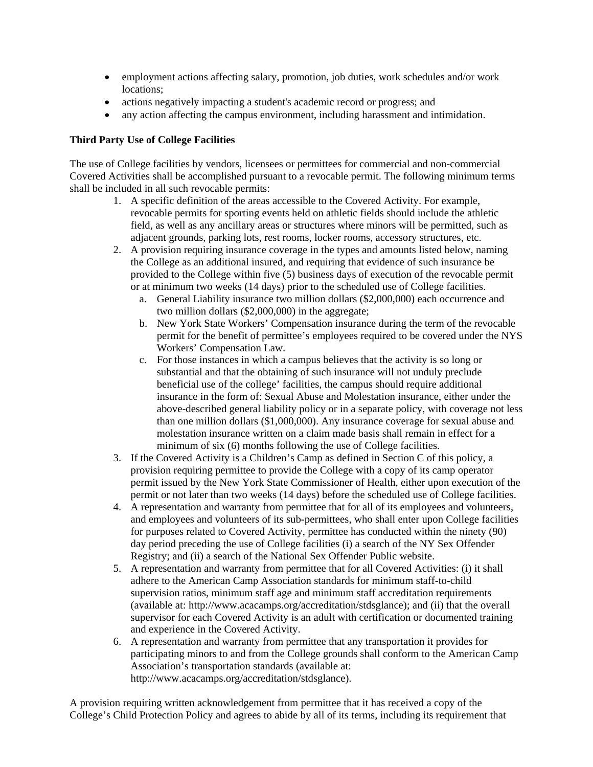- employment actions affecting salary, promotion, job duties, work schedules and/or work locations;
- actions negatively impacting a student's academic record or progress; and
- any action affecting the campus environment, including harassment and intimidation.

# **Third Party Use of College Facilities**

The use of College facilities by vendors, licensees or permittees for commercial and non-commercial Covered Activities shall be accomplished pursuant to a revocable permit. The following minimum terms shall be included in all such revocable permits:

- 1. A specific definition of the areas accessible to the Covered Activity. For example, revocable permits for sporting events held on athletic fields should include the athletic field, as well as any ancillary areas or structures where minors will be permitted, such as adjacent grounds, parking lots, rest rooms, locker rooms, accessory structures, etc.
- 2. A provision requiring insurance coverage in the types and amounts listed below, naming the College as an additional insured, and requiring that evidence of such insurance be provided to the College within five (5) business days of execution of the revocable permit or at minimum two weeks (14 days) prior to the scheduled use of College facilities.
	- a. General Liability insurance two million dollars (\$2,000,000) each occurrence and two million dollars (\$2,000,000) in the aggregate;
	- b. New York State Workers' Compensation insurance during the term of the revocable permit for the benefit of permittee's employees required to be covered under the NYS Workers' Compensation Law.
	- c. For those instances in which a campus believes that the activity is so long or substantial and that the obtaining of such insurance will not unduly preclude beneficial use of the college' facilities, the campus should require additional insurance in the form of: Sexual Abuse and Molestation insurance, either under the above-described general liability policy or in a separate policy, with coverage not less than one million dollars (\$1,000,000). Any insurance coverage for sexual abuse and molestation insurance written on a claim made basis shall remain in effect for a minimum of six (6) months following the use of College facilities.
- 3. If the Covered Activity is a Children's Camp as defined in Section C of this policy, a provision requiring permittee to provide the College with a copy of its camp operator permit issued by the New York State Commissioner of Health, either upon execution of the permit or not later than two weeks (14 days) before the scheduled use of College facilities.
- 4. A representation and warranty from permittee that for all of its employees and volunteers, and employees and volunteers of its sub-permittees, who shall enter upon College facilities for purposes related to Covered Activity, permittee has conducted within the ninety (90) day period preceding the use of College facilities (i) a search of the NY Sex Offender Registry; and (ii) a search of the National Sex Offender Public website.
- 5. A representation and warranty from permittee that for all Covered Activities: (i) it shall adhere to the American Camp Association standards for minimum staff-to-child supervision ratios, minimum staff age and minimum staff accreditation requirements (available at: http://www.acacamps.org/accreditation/stdsglance); and (ii) that the overall supervisor for each Covered Activity is an adult with certification or documented training and experience in the Covered Activity.
- 6. A representation and warranty from permittee that any transportation it provides for participating minors to and from the College grounds shall conform to the American Camp Association's transportation standards (available at: http://www.acacamps.org/accreditation/stdsglance).

A provision requiring written acknowledgement from permittee that it has received a copy of the College's Child Protection Policy and agrees to abide by all of its terms, including its requirement that